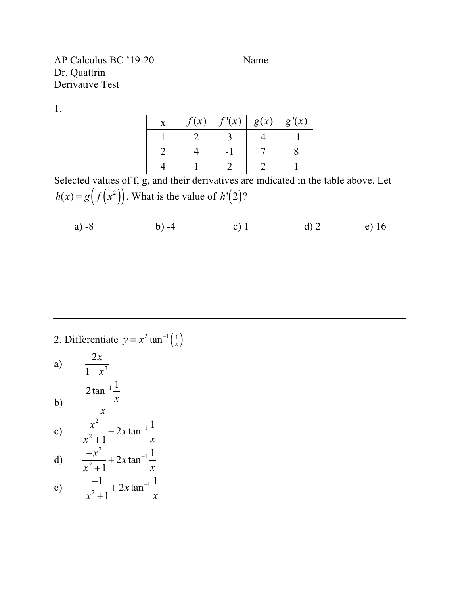## AP Calculus BC '19-20 Name Dr. Quattrin Derivative Test

1.

| Y | f(x) | f'(x) | g(x) | g'(x) |
|---|------|-------|------|-------|
|   |      |       |      |       |
|   |      |       |      |       |
|   |      |       |      |       |

Selected values of f, g, and their derivatives are indicated in the table above. Let  $h(x) = g(f(x^2))$ . What is the value of  $h'(2)$ ?

a)  $-8$  b)  $-4$  c) 1 d) 2 e) 16

2. Differentiate  $y = x^2 \tan^{-1} \left(\frac{1}{x}\right)$ a) b) c) d) e) 2*x*  $1 + x^2$ 2 tan<sup>-1</sup> $\frac{1}{2}$ *x x x* 2  $x^2 + 1$  $-2x \tan^{-1} \frac{1}{x}$ *x*  $-x^2$  $x^2 + 1$  $+ 2x \tan^{-1} \frac{1}{x}$ *x* −1  $x^2 + 1$  $+ 2x \tan^{-1} \frac{1}{x}$ *x*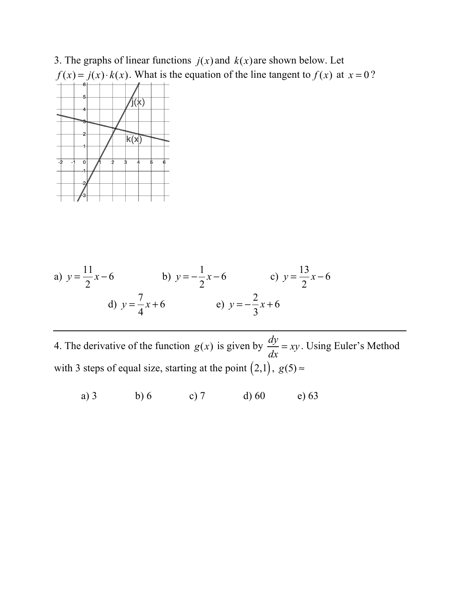

a) 
$$
y = \frac{11}{2}x - 6
$$
   
b)  $y = -\frac{1}{2}x - 6$    
c)  $y = \frac{13}{2}x - 6$   
d)  $y = \frac{7}{4}x + 6$    
e)  $y = -\frac{2}{3}x + 6$ 

4. The derivative of the function  $g(x)$  is given by  $\frac{dy}{dx} = xy$ . Using Euler's Method with 3 steps of equal size, starting at the point  $(2,1)$ ,  $g(5)$   $\approx$  $\frac{dy}{dx} = xy$ 

a) 3 b) 6 c) 7 d) 60 e) 63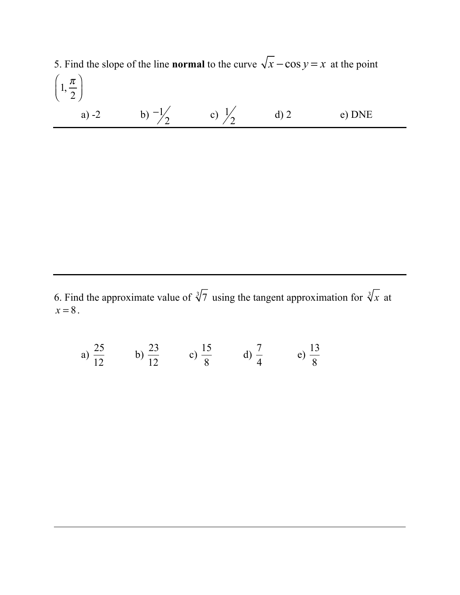5. Find the slope of the line **normal** to the curve  $\sqrt{x} - \cos y = x$  at the point a) -2 b)  $-1/2$  c)  $1/2$  d) 2 e) DNE  $1, \frac{\pi}{2}$ 2  $\sqrt{2}$  $\overline{\mathcal{N}}$  $\overline{a}$  $\overline{a}$ 2 1 2

6. Find the approximate value of  $\sqrt[3]{7}$  using the tangent approximation for  $\sqrt[3]{x}$  at  $x = 8$ .

a) 
$$
\frac{25}{12}
$$
 b)  $\frac{23}{12}$  c)  $\frac{15}{8}$  d)  $\frac{7}{4}$  e)  $\frac{13}{8}$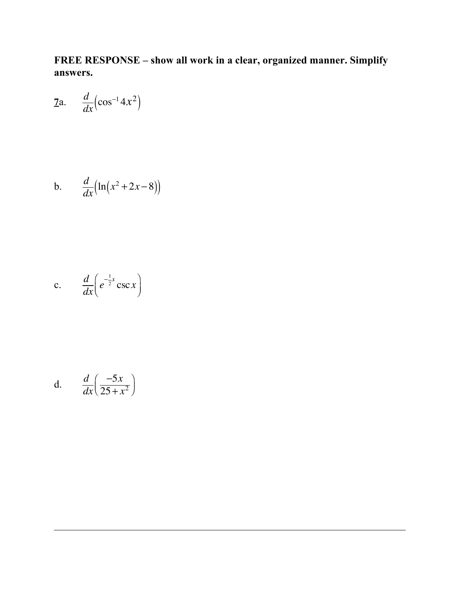**FREE RESPONSE – show all work in a clear, organized manner. Simplify answers.**

$$
\text{7a.} \quad \frac{d}{dx} \left( \cos^{-1} 4x^2 \right)
$$

$$
b. \qquad \frac{d}{dx}\left(\ln\left(x^2+2x-8\right)\right)
$$

c. 
$$
\frac{d}{dx}\left(e^{-\frac{1}{2}x}\csc x\right)
$$

d. 
$$
\frac{d}{dx} \left( \frac{-5x}{25 + x^2} \right)
$$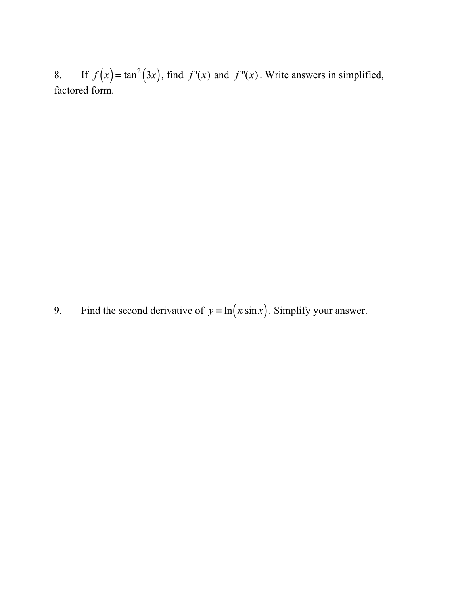8. If  $f(x) = \tan^2(3x)$ , find  $f'(x)$  and  $f''(x)$ . Write answers in simplified, factored form.

9. Find the second derivative of  $y = \ln(\pi \sin x)$ . Simplify your answer.